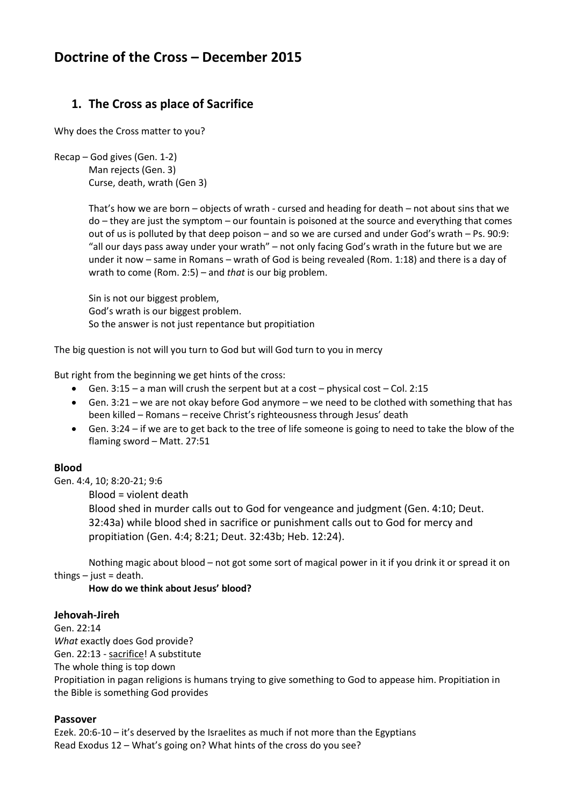# **Doctrine of the Cross – December 2015**

# **1. The Cross as place of Sacrifice**

Why does the Cross matter to you?

```
Recap – God gives (Gen. 1-2)
Man rejects (Gen. 3)
Curse, death, wrath (Gen 3)
```
That's how we are born – objects of wrath - cursed and heading for death – not about sins that we do – they are just the symptom – our fountain is poisoned at the source and everything that comes out of us is polluted by that deep poison – and so we are cursed and under God's wrath – Ps. 90:9: "all our days pass away under your wrath" – not only facing God's wrath in the future but we are under it now – same in Romans – wrath of God is being revealed (Rom. 1:18) and there is a day of wrath to come (Rom. 2:5) – and *that* is our big problem.

Sin is not our biggest problem, God's wrath is our biggest problem. So the answer is not just repentance but propitiation

The big question is not will you turn to God but will God turn to you in mercy

But right from the beginning we get hints of the cross:

- Gen. 3:15 a man will crush the serpent but at a cost physical cost Col. 2:15
- Gen. 3:21 we are not okay before God anymore we need to be clothed with something that has been killed – Romans – receive Christ's righteousness through Jesus' death
- Gen. 3:24 if we are to get back to the tree of life someone is going to need to take the blow of the flaming sword – Matt. 27:51

### **Blood**

Gen. 4:4, 10; 8:20-21; 9:6

Blood = violent death

Blood shed in murder calls out to God for vengeance and judgment (Gen. 4:10; Deut. 32:43a) while blood shed in sacrifice or punishment calls out to God for mercy and propitiation (Gen. 4:4; 8:21; Deut. 32:43b; Heb. 12:24).

Nothing magic about blood – not got some sort of magical power in it if you drink it or spread it on things  $-$  just = death.

**How do we think about Jesus' blood?**

### **Jehovah-Jireh**

Gen. 22:14 *What* exactly does God provide? Gen. 22:13 - sacrifice! A substitute The whole thing is top down Propitiation in pagan religions is humans trying to give something to God to appease him. Propitiation in the Bible is something God provides

### **Passover**

Ezek. 20:6-10 – it's deserved by the Israelites as much if not more than the Egyptians Read Exodus 12 – What's going on? What hints of the cross do you see?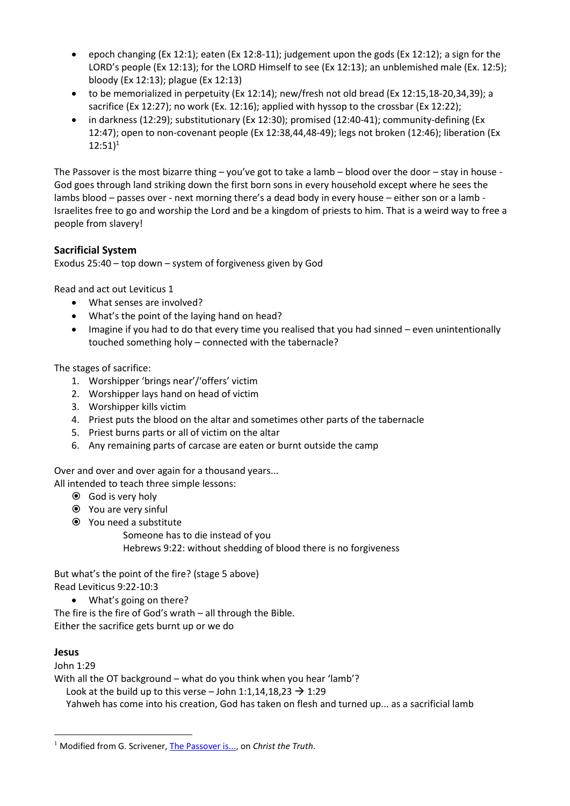- epoch changing (Ex 12:1); eaten (Ex 12:8-11); judgement upon the gods (Ex 12:12); a sign for the LORD's people (Ex 12:13); for the LORD Himself to see (Ex 12:13); an unblemished male (Ex. 12:5); bloody (Ex 12:13); plague (Ex 12:13)
- to be memorialized in perpetuity (Ex 12:14); new/fresh not old bread (Ex 12:15,18-20,34,39); a sacrifice (Ex 12:27); no work (Ex. 12:16); applied with hyssop to the crossbar (Ex 12:22);
- in darkness (12:29); substitutionary (Ex 12:30); promised (12:40-41); community-defining (Ex 12:47); open to non-covenant people (Ex 12:38,44,48-49); legs not broken (12:46); liberation (Ex  $12:51)^1$

The Passover is the most bizarre thing – you've got to take a lamb – blood over the door – stay in house - God goes through land striking down the first born sons in every household except where he sees the lambs blood – passes over - next morning there's a dead body in every house – either son or a lamb - Israelites free to go and worship the Lord and be a kingdom of priests to him. That is a weird way to free a people from slavery!

## **Sacrificial System**

Exodus 25:40 – top down – system of forgiveness given by God

Read and act out Leviticus 1

- What senses are involved?
- What's the point of the laying hand on head?
- Imagine if you had to do that every time you realised that you had sinned even unintentionally touched something holy – connected with the tabernacle?

The stages of sacrifice:

- 1. Worshipper 'brings near'/'offers' victim
- 2. Worshipper lays hand on head of victim
- 3. Worshipper kills victim
- 4. Priest puts the blood on the altar and sometimes other parts of the tabernacle
- 5. Priest burns parts or all of victim on the altar
- 6. Any remaining parts of carcase are eaten or burnt outside the camp

Over and over and over again for a thousand years...

All intended to teach three simple lessons:

- God is very holy
- You are very sinful
- You need a substitute

Someone has to die instead of you Hebrews 9:22: without shedding of blood there is no forgiveness

But what's the point of the fire? (stage 5 above) Read Leviticus 9:22-10:3

What's going on there?

The fire is the fire of God's wrath – all through the Bible. Either the sacrifice gets burnt up or we do

### **Jesus**

 $\overline{a}$ 

John 1:29 With all the OT background – what do you think when you hear 'lamb'? Look at the build up to this verse – John 1:1,14,18,23  $\rightarrow$  1:29 Yahweh has come into his creation, God has taken on flesh and turned up... as a sacrificial lamb

<sup>&</sup>lt;sup>1</sup> Modified from G. Scrivener, [The Passover is...,](http://christthetruth.wordpress.com/2011/07/21/passover-is-2/) on *Christ the Truth*.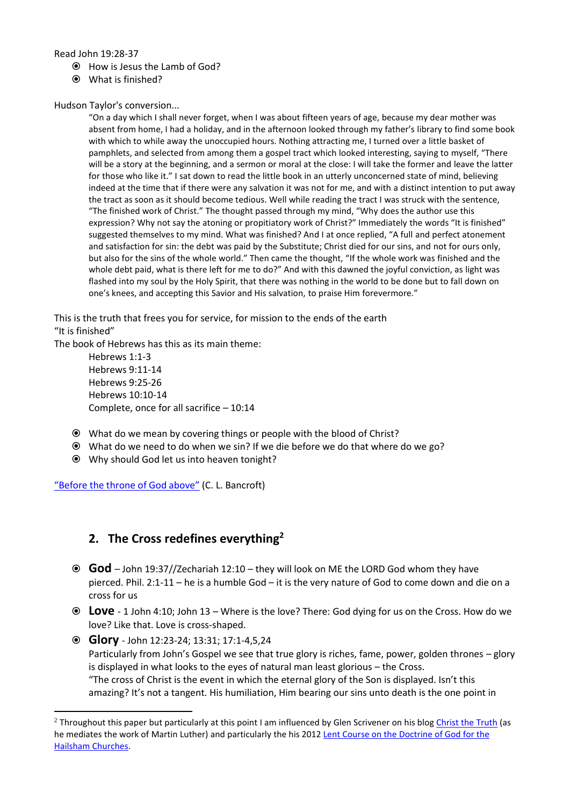Read John 19:28-37

- How is Jesus the Lamb of God?
- What is finished?

Hudson Taylor's conversion...

"On a day which I shall never forget, when I was about fifteen years of age, because my dear mother was absent from home, I had a holiday, and in the afternoon looked through my father's library to find some book with which to while away the unoccupied hours. Nothing attracting me, I turned over a little basket of pamphlets, and selected from among them a gospel tract which looked interesting, saying to myself, "There will be a story at the beginning, and a sermon or moral at the close: I will take the former and leave the latter for those who like it." I sat down to read the little book in an utterly unconcerned state of mind, believing indeed at the time that if there were any salvation it was not for me, and with a distinct intention to put away the tract as soon as it should become tedious. Well while reading the tract I was struck with the sentence, "The finished work of Christ." The thought passed through my mind, "Why does the author use this expression? Why not say the atoning or propitiatory work of Christ?" Immediately the words "It is finished" suggested themselves to my mind. What was finished? And I at once replied, "A full and perfect atonement and satisfaction for sin: the debt was paid by the Substitute; Christ died for our sins, and not for ours only, but also for the sins of the whole world." Then came the thought, "If the whole work was finished and the whole debt paid, what is there left for me to do?" And with this dawned the joyful conviction, as light was flashed into my soul by the Holy Spirit, that there was nothing in the world to be done but to fall down on one's knees, and accepting this Savior and His salvation, to praise Him forevermore."

This is the truth that frees you for service, for mission to the ends of the earth "It is finished"

The book of Hebrews has this as its main theme:

Hebrews 1:1-3 Hebrews 9:11-14 Hebrews 9:25-26 Hebrews 10:10-14 Complete, once for all sacrifice – 10:14

- What do we mean by covering things or people with the blood of Christ?
- What do we need to do when we sin? If we die before we do that where do we go?
- Why should God let us into heaven tonight?

"[Before the throne of God above](http://www.youtube.com/watch?v=qJZrmqPwKCM&feature=related)" (C. L. Bancroft)

1

# **2. The Cross redefines everything<sup>2</sup>**

- **God** John 19:37//Zechariah 12:10 they will look on ME the LORD God whom they have pierced. Phil. 2:1-11 – he is a humble God – it is the very nature of God to come down and die on a cross for us
- **Love**  1 John 4:10; John 13 Where is the love? There: God dying for us on the Cross. How do we love? Like that. Love is cross-shaped.
- **Glory** John 12:23-24; 13:31; 17:1-4,5,24 Particularly from John's Gospel we see that true glory is riches, fame, power, golden thrones – glory is displayed in what looks to the eyes of natural man least glorious – the Cross. "The cross of Christ is the event in which the eternal glory of the Son is displayed. Isn't this amazing? It's not a tangent. His humiliation, Him bearing our sins unto death is the one point in

 $2$  Throughout this paper but particularly at this point I am influenced by Glen Scrivener on his blog [Christ the Truth](http://christthetruth.wordpress.com/) (as he mediates the work of Martin Luther) and particularly the his 2012 [Lent Course on the Doctrine of God for the](http://christthetruth.wordpress.com/2012/03/02/lenten-course-on-doctrine-of-god/)  [Hailsham Churches.](http://christthetruth.wordpress.com/2012/03/02/lenten-course-on-doctrine-of-god/)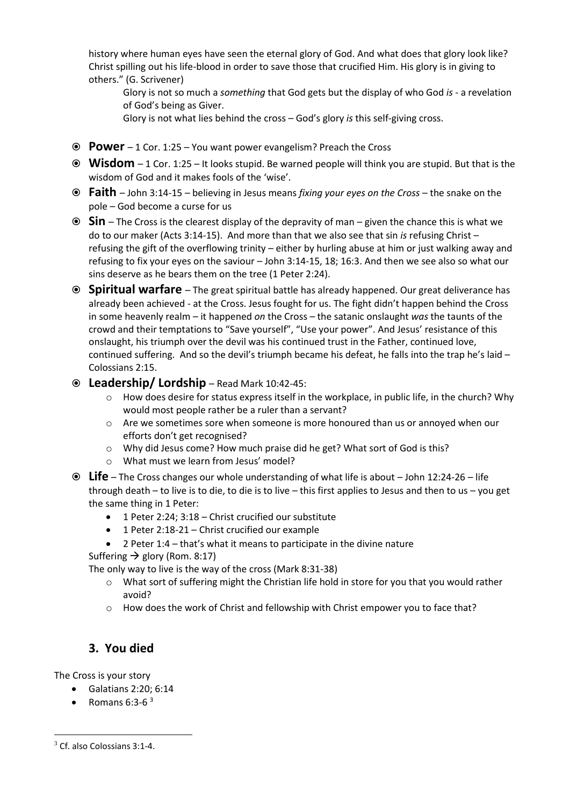history where human eyes have seen the eternal glory of God. And what does that glory look like? Christ spilling out his life-blood in order to save those that crucified Him. His glory is in giving to others." (G. Scrivener)

Glory is not so much a *something* that God gets but the display of who God *is* - a revelation of God's being as Giver.

Glory is not what lies behind the cross – God's glory *is* this self-giving cross.

- **Power** 1 Cor. 1:25 You want power evangelism? Preach the Cross
- **Wisdom** 1 Cor. 1:25 It looks stupid. Be warned people will think you are stupid. But that is the wisdom of God and it makes fools of the 'wise'.
- **Faith** John 3:14-15 believing in Jesus means *fixing your eyes on the Cross* the snake on the pole – God become a curse for us
- **Sin** The Cross is the clearest display of the depravity of man given the chance this is what we do to our maker (Acts 3:14-15). And more than that we also see that sin *is* refusing Christ – refusing the gift of the overflowing trinity – either by hurling abuse at him or just walking away and refusing to fix your eyes on the saviour – John 3:14-15, 18; 16:3. And then we see also so what our sins deserve as he bears them on the tree (1 Peter 2:24).
- **Spiritual warfare** The great spiritual battle has already happened. Our great deliverance has already been achieved - at the Cross. Jesus fought for us. The fight didn't happen behind the Cross in some heavenly realm – it happened *on* the Cross – the satanic onslaught *was* the taunts of the crowd and their temptations to "Save yourself", "Use your power". And Jesus' resistance of this onslaught, his triumph over the devil was his continued trust in the Father, continued love, continued suffering. And so the devil's triumph became his defeat, he falls into the trap he's laid  $-$ Colossians 2:15.
- **Leadership/ Lordship** Read Mark 10:42-45:
	- o How does desire for status express itself in the workplace, in public life, in the church? Why would most people rather be a ruler than a servant?
	- o Are we sometimes sore when someone is more honoured than us or annoyed when our efforts don't get recognised?
	- o Why did Jesus come? How much praise did he get? What sort of God is this?
	- o What must we learn from Jesus' model?
- **Life** The Cross changes our whole understanding of what life is about John 12:24-26 life through death – to live is to die, to die is to live – this first applies to Jesus and then to us – you get the same thing in 1 Peter:
	- 1 Peter 2:24; 3:18 Christ crucified our substitute
	- 1 Peter 2:18-21 Christ crucified our example
	- 2 Peter 1:4 that's what it means to participate in the divine nature

Suffering  $\rightarrow$  glory (Rom. 8:17)

The only way to live is the way of the cross (Mark 8:31-38)

- $\circ$  What sort of suffering might the Christian life hold in store for you that you would rather avoid?
- o How does the work of Christ and fellowship with Christ empower you to face that?

# **3. You died**

The Cross is your story

- Galatians 2:20; 6:14
- Romans  $6:3-6<sup>3</sup>$

 $\overline{a}$ 

 $3$  Cf. also Colossians 3:1-4.